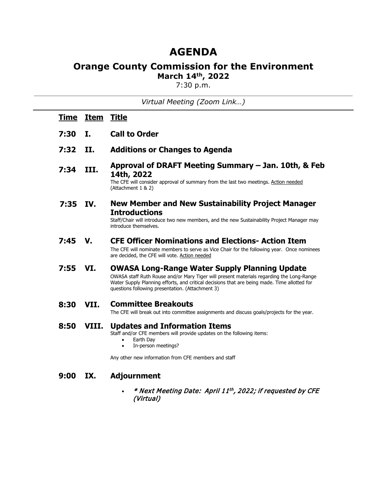# **AGENDA**

## **Orange County Commission for the Environment March 14th, 2022**

7:30 p.m.

*Virtual Meeting (Zoom Link…)*

| <u>Time</u> | <b>Item</b> | <u>Title</u>                                                                                                                                                                                                                                                                                         |
|-------------|-------------|------------------------------------------------------------------------------------------------------------------------------------------------------------------------------------------------------------------------------------------------------------------------------------------------------|
| 7:30        | I.          | <b>Call to Order</b>                                                                                                                                                                                                                                                                                 |
| 7:32        | II.         | <b>Additions or Changes to Agenda</b>                                                                                                                                                                                                                                                                |
| 7:34        | III.        | Approval of DRAFT Meeting Summary - Jan. 10th, & Feb<br>14th, 2022<br>The CFE will consider approval of summary from the last two meetings. Action needed<br>(Attachment 1 & 2)                                                                                                                      |
| 7:35        | IV.         | <b>New Member and New Sustainability Project Manager</b><br><b>Introductions</b><br>Staff/Chair will introduce two new members, and the new Sustainability Project Manager may<br>introduce themselves.                                                                                              |
| 7:45        | V.          | <b>CFE Officer Nominations and Elections- Action Item</b><br>The CFE will nominate members to serve as Vice Chair for the following year. Once nominees<br>are decided, the CFE will vote. Action needed                                                                                             |
| 7:55        | VI.         | <b>OWASA Long-Range Water Supply Planning Update</b><br>OWASA staff Ruth Rouse and/or Mary Tiger will present materials regarding the Long-Range<br>Water Supply Planning efforts, and critical decisions that are being made. Time allotted for<br>questions following presentation. (Attachment 3) |
| 8:30        | VII.        | <b>Committee Breakouts</b><br>The CFE will break out into committee assignments and discuss goals/projects for the year.                                                                                                                                                                             |
| 8:50        | VIII.       | <b>Updates and Information Items</b><br>Staff and/or CFE members will provide updates on the following items:<br>Earth Day<br>$\bullet$<br>In-person meetings?<br>$\bullet$<br>Any other new information from CFE members and staff                                                                  |
| 9:00        | IX.         | <b>Adjournment</b><br>* Next Meeting Date: April 11th, 2022; if requested by CFE<br>(Virtual)                                                                                                                                                                                                        |
|             |             |                                                                                                                                                                                                                                                                                                      |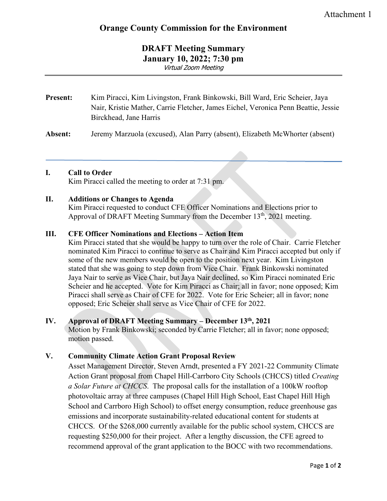### **DRAFT Meeting Summary January 10, 2022; 7:30 pm** Virtual Zoom Meeting

## **Present:** Kim Piracci, Kim Livingston, Frank Binkowski, Bill Ward, Eric Scheier, Jaya Nair, Kristie Mather, Carrie Fletcher, James Eichel, Veronica Penn Beattie, Jessie Birckhead, Jane Harris

**Absent:** Jeremy Marzuola (excused), Alan Parry (absent), Elizabeth McWhorter (absent)

### **I. Call to Order**

Kim Piracci called the meeting to order at 7:31 pm.

### **II. Additions or Changes to Agenda**

Kim Piracci requested to conduct CFE Officer Nominations and Elections prior to Approval of DRAFT Meeting Summary from the December  $13<sup>th</sup>$ , 2021 meeting.

### **III. CFE Officer Nominations and Elections – Action Item**

Kim Piracci stated that she would be happy to turn over the role of Chair. Carrie Fletcher nominated Kim Piracci to continue to serve as Chair and Kim Piracci accepted but only if some of the new members would be open to the position next year. Kim Livingston stated that she was going to step down from Vice Chair. Frank Binkowski nominated Jaya Nair to serve as Vice Chair, but Jaya Nair declined, so Kim Piracci nominated Eric Scheier and he accepted. Vote for Kim Piracci as Chair; all in favor; none opposed; Kim Piracci shall serve as Chair of CFE for 2022. Vote for Eric Scheier; all in favor; none opposed; Eric Scheier shall serve as Vice Chair of CFE for 2022.

#### **IV. Approval of DRAFT Meeting Summary – December 13th, 2021**

Motion by Frank Binkowski; seconded by Carrie Fletcher; all in favor; none opposed; motion passed.

### **V. Community Climate Action Grant Proposal Review**

Asset Management Director, Steven Arndt, presented a FY 2021-22 Community Climate Action Grant proposal from Chapel Hill-Carrboro City Schools (CHCCS) titled *Creating a Solar Future at CHCCS*. The proposal calls for the installation of a 100kW rooftop photovoltaic array at three campuses (Chapel Hill High School, East Chapel Hill High School and Carrboro High School) to offset energy consumption, reduce greenhouse gas emissions and incorporate sustainability-related educational content for students at CHCCS. Of the \$268,000 currently available for the public school system, CHCCS are requesting \$250,000 for their project. After a lengthy discussion, the CFE agreed to recommend approval of the grant application to the BOCC with two recommendations.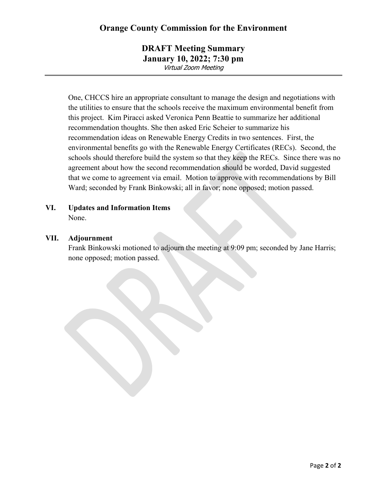### **DRAFT Meeting Summary January 10, 2022; 7:30 pm** Virtual Zoom Meeting

One, CHCCS hire an appropriate consultant to manage the design and negotiations with the utilities to ensure that the schools receive the maximum environmental benefit from this project. Kim Piracci asked Veronica Penn Beattie to summarize her additional recommendation thoughts. She then asked Eric Scheier to summarize his recommendation ideas on Renewable Energy Credits in two sentences. First, the environmental benefits go with the Renewable Energy Certificates (RECs). Second, the schools should therefore build the system so that they keep the RECs. Since there was no agreement about how the second recommendation should be worded, David suggested that we come to agreement via email. Motion to approve with recommendations by Bill Ward; seconded by Frank Binkowski; all in favor; none opposed; motion passed.

**VI. Updates and Information Items** None.

#### **VII. Adjournment**

Frank Binkowski motioned to adjourn the meeting at 9:09 pm; seconded by Jane Harris; none opposed; motion passed.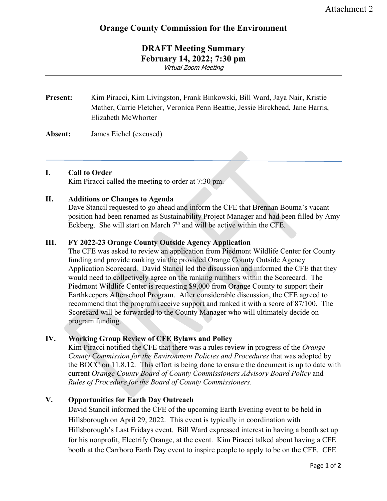### **DRAFT Meeting Summary February 14, 2022; 7:30 pm** Virtual Zoom Meeting

### **Present:** Kim Piracci, Kim Livingston, Frank Binkowski, Bill Ward, Jaya Nair, Kristie Mather, Carrie Fletcher, Veronica Penn Beattie, Jessie Birckhead, Jane Harris, Elizabeth McWhorter

### **Absent:** James Eichel (excused)

#### **I. Call to Order**

Kim Piracci called the meeting to order at 7:30 pm.

### **II. Additions or Changes to Agenda**

Dave Stancil requested to go ahead and inform the CFE that Brennan Bouma's vacant position had been renamed as Sustainability Project Manager and had been filled by Amy Eckberg. She will start on March  $7<sup>th</sup>$  and will be active within the CFE.

### **III. FY 2022-23 Orange County Outside Agency Application**

The CFE was asked to review an application from Piedmont Wildlife Center for County funding and provide ranking via the provided Orange County Outside Agency Application Scorecard. David Stancil led the discussion and informed the CFE that they would need to collectively agree on the ranking numbers within the Scorecard. The Piedmont Wildlife Center is requesting \$9,000 from Orange County to support their Earthkeepers Afterschool Program. After considerable discussion, the CFE agreed to recommend that the program receive support and ranked it with a score of 87/100. The Scorecard will be forwarded to the County Manager who will ultimately decide on program funding.

### **IV. Working Group Review of CFE Bylaws and Policy**

Kim Piracci notified the CFE that there was a rules review in progress of the *Orange County Commission for the Environment Policies and Procedures* that was adopted by the BOCC on 11.8.12. This effort is being done to ensure the document is up to date with current *Orange County Board of County Commissioners Advisory Board Policy* and *Rules of Procedure for the Board of County Commissioners*.

### **V. Opportunities for Earth Day Outreach**

David Stancil informed the CFE of the upcoming Earth Evening event to be held in Hillsborough on April 29, 2022. This event is typically in coordination with Hillsborough's Last Fridays event. Bill Ward expressed interest in having a booth set up for his nonprofit, Electrify Orange, at the event. Kim Piracci talked about having a CFE booth at the Carrboro Earth Day event to inspire people to apply to be on the CFE. CFE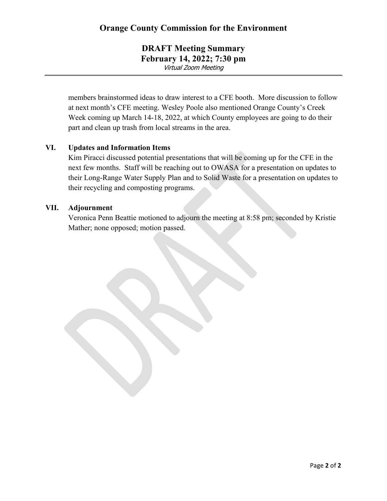**DRAFT Meeting Summary February 14, 2022; 7:30 pm** Virtual Zoom Meeting

members brainstormed ideas to draw interest to a CFE booth. More discussion to follow at next month's CFE meeting. Wesley Poole also mentioned Orange County's Creek Week coming up March 14-18, 2022, at which County employees are going to do their part and clean up trash from local streams in the area.

#### **VI. Updates and Information Items**

Kim Piracci discussed potential presentations that will be coming up for the CFE in the next few months. Staff will be reaching out to OWASA for a presentation on updates to their Long-Range Water Supply Plan and to Solid Waste for a presentation on updates to their recycling and composting programs.

#### **VII. Adjournment**

Veronica Penn Beattie motioned to adjourn the meeting at 8:58 pm; seconded by Kristie Mather; none opposed; motion passed.